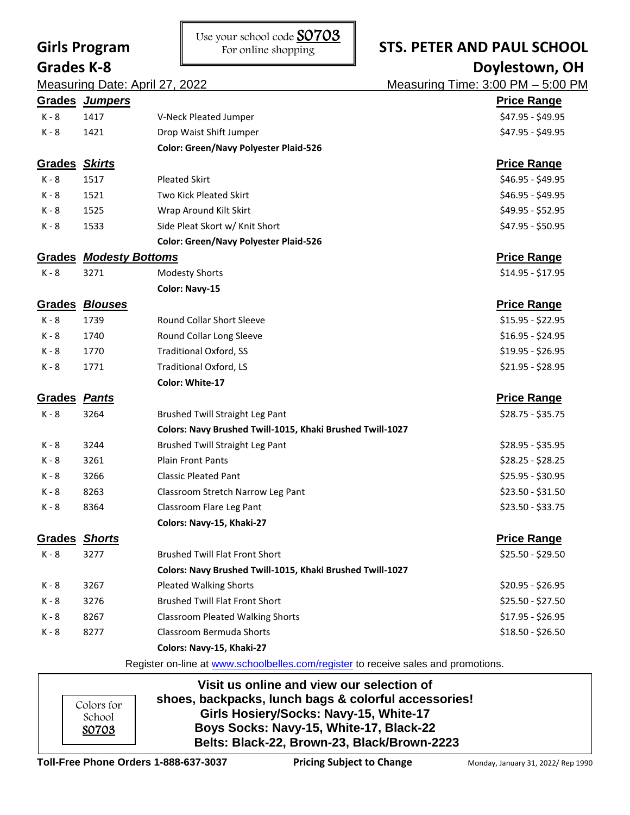# **Girls Program STS. PETER AND PAUL SCHOOL**

| <b>Grades K-8</b>                                                                  |                        |                                                           | Doylestown, OH                    |  |  |  |  |
|------------------------------------------------------------------------------------|------------------------|-----------------------------------------------------------|-----------------------------------|--|--|--|--|
| Measuring Date: April 27, 2022                                                     |                        |                                                           | Measuring Time: 3:00 PM - 5:00 PM |  |  |  |  |
|                                                                                    | Grades Jumpers         |                                                           | <b>Price Range</b>                |  |  |  |  |
| $K - 8$                                                                            | 1417                   | V-Neck Pleated Jumper                                     | \$47.95 - \$49.95                 |  |  |  |  |
| K - 8                                                                              | 1421                   | Drop Waist Shift Jumper                                   | \$47.95 - \$49.95                 |  |  |  |  |
|                                                                                    |                        | <b>Color: Green/Navy Polyester Plaid-526</b>              |                                   |  |  |  |  |
|                                                                                    | Grades Skirts          |                                                           | <b>Price Range</b>                |  |  |  |  |
| K - 8                                                                              | 1517                   | <b>Pleated Skirt</b>                                      | \$46.95 - \$49.95                 |  |  |  |  |
| K - 8                                                                              | 1521                   | <b>Two Kick Pleated Skirt</b>                             | \$46.95 - \$49.95                 |  |  |  |  |
| K - 8                                                                              | 1525                   | Wrap Around Kilt Skirt                                    | \$49.95 - \$52.95                 |  |  |  |  |
| K - 8                                                                              | 1533                   | Side Pleat Skort w/ Knit Short                            | \$47.95 - \$50.95                 |  |  |  |  |
|                                                                                    |                        | <b>Color: Green/Navy Polyester Plaid-526</b>              |                                   |  |  |  |  |
| <b>Grades</b>                                                                      | <b>Modesty Bottoms</b> |                                                           | <b>Price Range</b>                |  |  |  |  |
| $K - 8$                                                                            | 3271                   | <b>Modesty Shorts</b>                                     | $$14.95 - $17.95$                 |  |  |  |  |
|                                                                                    |                        | Color: Navy-15                                            |                                   |  |  |  |  |
| <b>Grades</b>                                                                      | <b>Blouses</b>         |                                                           | <b>Price Range</b>                |  |  |  |  |
| $K - 8$                                                                            | 1739                   | Round Collar Short Sleeve                                 | $$15.95 - $22.95$                 |  |  |  |  |
| K - 8                                                                              | 1740                   | Round Collar Long Sleeve                                  | $$16.95 - $24.95$                 |  |  |  |  |
| K - 8                                                                              | 1770                   | <b>Traditional Oxford, SS</b>                             | $$19.95 - $26.95$                 |  |  |  |  |
| K - 8                                                                              | 1771                   | <b>Traditional Oxford, LS</b>                             | $$21.95 - $28.95$                 |  |  |  |  |
|                                                                                    |                        | Color: White-17                                           |                                   |  |  |  |  |
| <b>Grades</b>                                                                      | <u>Pants</u>           |                                                           | <b>Price Range</b>                |  |  |  |  |
| K - 8                                                                              | 3264                   | <b>Brushed Twill Straight Leg Pant</b>                    | $$28.75 - $35.75$                 |  |  |  |  |
|                                                                                    |                        | Colors: Navy Brushed Twill-1015, Khaki Brushed Twill-1027 |                                   |  |  |  |  |
| K - 8                                                                              | 3244                   | <b>Brushed Twill Straight Leg Pant</b>                    | $$28.95 - $35.95$                 |  |  |  |  |
| K - 8                                                                              | 3261                   | <b>Plain Front Pants</b>                                  | $$28.25 - $28.25$                 |  |  |  |  |
| K - 8                                                                              | 3266                   | <b>Classic Pleated Pant</b>                               | \$25.95 - \$30.95                 |  |  |  |  |
| K - 8                                                                              | 8263                   | Classroom Stretch Narrow Leg Pant                         | $$23.50 - $31.50$                 |  |  |  |  |
| K - 8                                                                              | 8364                   | Classroom Flare Leg Pant                                  | $$23.50 - $33.75$                 |  |  |  |  |
|                                                                                    |                        | Colors: Navy-15, Khaki-27                                 |                                   |  |  |  |  |
|                                                                                    | <b>Grades Shorts</b>   |                                                           | <b>Price Range</b>                |  |  |  |  |
| $K - 8$                                                                            | 3277                   | <b>Brushed Twill Flat Front Short</b>                     | \$25.50 - \$29.50                 |  |  |  |  |
|                                                                                    |                        | Colors: Navy Brushed Twill-1015, Khaki Brushed Twill-1027 |                                   |  |  |  |  |
| K - 8                                                                              | 3267                   | <b>Pleated Walking Shorts</b>                             | $$20.95 - $26.95$                 |  |  |  |  |
| $K - 8$                                                                            | 3276                   | <b>Brushed Twill Flat Front Short</b>                     | $$25.50 - $27.50$                 |  |  |  |  |
| $K - 8$                                                                            | 8267                   | <b>Classroom Pleated Walking Shorts</b>                   | $$17.95 - $26.95$                 |  |  |  |  |
| K - 8                                                                              | 8277                   | Classroom Bermuda Shorts                                  | $$18.50 - $26.50$                 |  |  |  |  |
|                                                                                    |                        | Colors: Navy-15, Khaki-27                                 |                                   |  |  |  |  |
| Register on-line at www.schoolbelles.com/register to receive sales and promotions. |                        |                                                           |                                   |  |  |  |  |
| Visit us online and view our selection of                                          |                        |                                                           |                                   |  |  |  |  |
| shoes, backpacks, lunch bags & colorful accessories!<br>Colors for                 |                        |                                                           |                                   |  |  |  |  |
|                                                                                    | School                 | Girls Hosiery/Socks: Navy-15, White-17                    |                                   |  |  |  |  |

Use your school code **SO703** For online shopping

S0703

**Boys Socks: Navy-15, White-17, Black-22 Belts: Black-22, Brown-23, Black/Brown-2223**